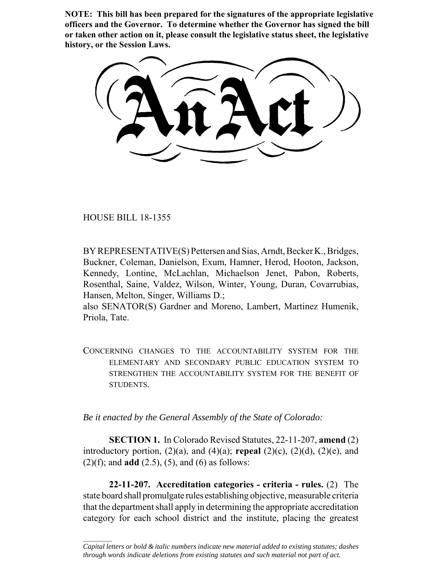**NOTE: This bill has been prepared for the signatures of the appropriate legislative officers and the Governor. To determine whether the Governor has signed the bill or taken other action on it, please consult the legislative status sheet, the legislative history, or the Session Laws.**

HOUSE BILL 18-1355

 $\frac{1}{2}$ 

BY REPRESENTATIVE(S) Pettersen and Sias, Arndt, Becker K., Bridges, Buckner, Coleman, Danielson, Exum, Hamner, Herod, Hooton, Jackson, Kennedy, Lontine, McLachlan, Michaelson Jenet, Pabon, Roberts, Rosenthal, Saine, Valdez, Wilson, Winter, Young, Duran, Covarrubias, Hansen, Melton, Singer, Williams D.;

also SENATOR(S) Gardner and Moreno, Lambert, Martinez Humenik, Priola, Tate.

CONCERNING CHANGES TO THE ACCOUNTABILITY SYSTEM FOR THE ELEMENTARY AND SECONDARY PUBLIC EDUCATION SYSTEM TO STRENGTHEN THE ACCOUNTABILITY SYSTEM FOR THE BENEFIT OF STUDENTS.

*Be it enacted by the General Assembly of the State of Colorado:*

**SECTION 1.** In Colorado Revised Statutes, 22-11-207, **amend** (2) introductory portion,  $(2)(a)$ , and  $(4)(a)$ ; **repeal**  $(2)(c)$ ,  $(2)(d)$ ,  $(2)(e)$ , and  $(2)(f)$ ; and **add**  $(2.5)$ ,  $(5)$ , and  $(6)$  as follows:

**22-11-207. Accreditation categories - criteria - rules.** (2) The state board shall promulgate rules establishing objective, measurable criteria that the department shall apply in determining the appropriate accreditation category for each school district and the institute, placing the greatest

*Capital letters or bold & italic numbers indicate new material added to existing statutes; dashes through words indicate deletions from existing statutes and such material not part of act.*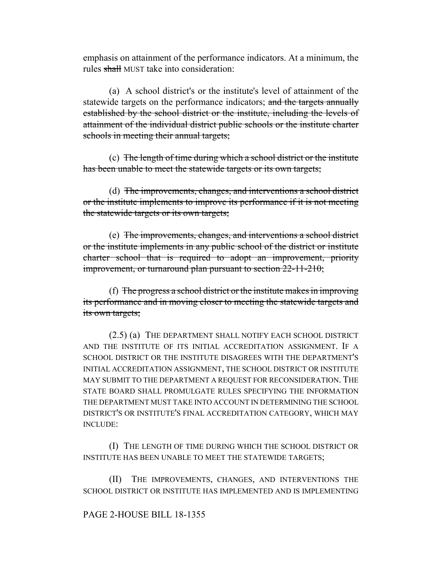emphasis on attainment of the performance indicators. At a minimum, the rules shall MUST take into consideration:

(a) A school district's or the institute's level of attainment of the statewide targets on the performance indicators; and the targets annually established by the school district or the institute, including the levels of attainment of the individual district public schools or the institute charter schools in meeting their annual targets;

(c) The length of time during which a school district or the institute has been unable to meet the statewide targets or its own targets;

(d) The improvements, changes, and interventions a school district or the institute implements to improve its performance if it is not meeting the statewide targets or its own targets;

(e) The improvements, changes, and interventions a school district or the institute implements in any public school of the district or institute charter school that is required to adopt an improvement, priority improvement, or turnaround plan pursuant to section 22-11-210;

(f) The progress a school district or the institute makes in improving its performance and in moving closer to meeting the statewide targets and its own targets;

(2.5) (a) THE DEPARTMENT SHALL NOTIFY EACH SCHOOL DISTRICT AND THE INSTITUTE OF ITS INITIAL ACCREDITATION ASSIGNMENT. IF A SCHOOL DISTRICT OR THE INSTITUTE DISAGREES WITH THE DEPARTMENT'S INITIAL ACCREDITATION ASSIGNMENT, THE SCHOOL DISTRICT OR INSTITUTE MAY SUBMIT TO THE DEPARTMENT A REQUEST FOR RECONSIDERATION. THE STATE BOARD SHALL PROMULGATE RULES SPECIFYING THE INFORMATION THE DEPARTMENT MUST TAKE INTO ACCOUNT IN DETERMINING THE SCHOOL DISTRICT'S OR INSTITUTE'S FINAL ACCREDITATION CATEGORY, WHICH MAY INCLUDE:

(I) THE LENGTH OF TIME DURING WHICH THE SCHOOL DISTRICT OR INSTITUTE HAS BEEN UNABLE TO MEET THE STATEWIDE TARGETS;

(II) THE IMPROVEMENTS, CHANGES, AND INTERVENTIONS THE SCHOOL DISTRICT OR INSTITUTE HAS IMPLEMENTED AND IS IMPLEMENTING

# PAGE 2-HOUSE BILL 18-1355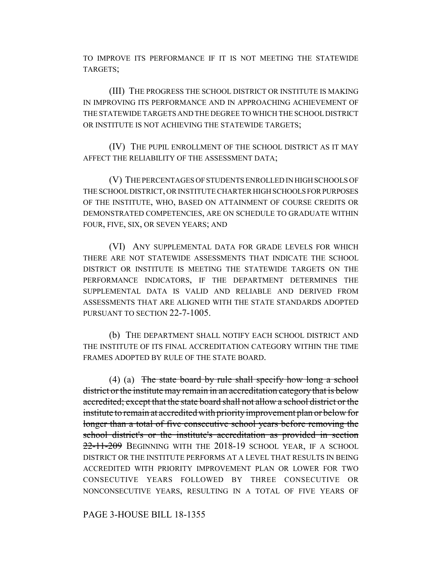TO IMPROVE ITS PERFORMANCE IF IT IS NOT MEETING THE STATEWIDE TARGETS;

(III) THE PROGRESS THE SCHOOL DISTRICT OR INSTITUTE IS MAKING IN IMPROVING ITS PERFORMANCE AND IN APPROACHING ACHIEVEMENT OF THE STATEWIDE TARGETS AND THE DEGREE TO WHICH THE SCHOOL DISTRICT OR INSTITUTE IS NOT ACHIEVING THE STATEWIDE TARGETS;

(IV) THE PUPIL ENROLLMENT OF THE SCHOOL DISTRICT AS IT MAY AFFECT THE RELIABILITY OF THE ASSESSMENT DATA;

(V) THE PERCENTAGES OF STUDENTS ENROLLED IN HIGH SCHOOLS OF THE SCHOOL DISTRICT, OR INSTITUTE CHARTER HIGH SCHOOLS FOR PURPOSES OF THE INSTITUTE, WHO, BASED ON ATTAINMENT OF COURSE CREDITS OR DEMONSTRATED COMPETENCIES, ARE ON SCHEDULE TO GRADUATE WITHIN FOUR, FIVE, SIX, OR SEVEN YEARS; AND

(VI) ANY SUPPLEMENTAL DATA FOR GRADE LEVELS FOR WHICH THERE ARE NOT STATEWIDE ASSESSMENTS THAT INDICATE THE SCHOOL DISTRICT OR INSTITUTE IS MEETING THE STATEWIDE TARGETS ON THE PERFORMANCE INDICATORS, IF THE DEPARTMENT DETERMINES THE SUPPLEMENTAL DATA IS VALID AND RELIABLE AND DERIVED FROM ASSESSMENTS THAT ARE ALIGNED WITH THE STATE STANDARDS ADOPTED PURSUANT TO SECTION 22-7-1005

(b) THE DEPARTMENT SHALL NOTIFY EACH SCHOOL DISTRICT AND THE INSTITUTE OF ITS FINAL ACCREDITATION CATEGORY WITHIN THE TIME FRAMES ADOPTED BY RULE OF THE STATE BOARD.

(4) (a) The state board by rule shall specify how long a school district or the institute may remain in an accreditation category that is below accredited; except that the state board shall not allow a school district or the institute to remain at accredited with priority improvement plan or below for longer than a total of five consecutive school years before removing the school district's or the institute's accreditation as provided in section 22-11-209 BEGINNING WITH THE 2018-19 SCHOOL YEAR, IF A SCHOOL DISTRICT OR THE INSTITUTE PERFORMS AT A LEVEL THAT RESULTS IN BEING ACCREDITED WITH PRIORITY IMPROVEMENT PLAN OR LOWER FOR TWO CONSECUTIVE YEARS FOLLOWED BY THREE CONSECUTIVE OR NONCONSECUTIVE YEARS, RESULTING IN A TOTAL OF FIVE YEARS OF

PAGE 3-HOUSE BILL 18-1355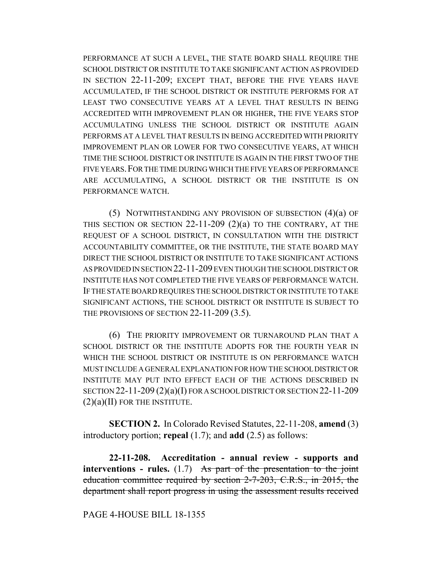PERFORMANCE AT SUCH A LEVEL, THE STATE BOARD SHALL REQUIRE THE SCHOOL DISTRICT OR INSTITUTE TO TAKE SIGNIFICANT ACTION AS PROVIDED IN SECTION 22-11-209; EXCEPT THAT, BEFORE THE FIVE YEARS HAVE ACCUMULATED, IF THE SCHOOL DISTRICT OR INSTITUTE PERFORMS FOR AT LEAST TWO CONSECUTIVE YEARS AT A LEVEL THAT RESULTS IN BEING ACCREDITED WITH IMPROVEMENT PLAN OR HIGHER, THE FIVE YEARS STOP ACCUMULATING UNLESS THE SCHOOL DISTRICT OR INSTITUTE AGAIN PERFORMS AT A LEVEL THAT RESULTS IN BEING ACCREDITED WITH PRIORITY IMPROVEMENT PLAN OR LOWER FOR TWO CONSECUTIVE YEARS, AT WHICH TIME THE SCHOOL DISTRICT OR INSTITUTE IS AGAIN IN THE FIRST TWO OF THE FIVE YEARS.FOR THE TIME DURING WHICH THE FIVE YEARS OF PERFORMANCE ARE ACCUMULATING, A SCHOOL DISTRICT OR THE INSTITUTE IS ON PERFORMANCE WATCH.

(5) NOTWITHSTANDING ANY PROVISION OF SUBSECTION (4)(a) OF THIS SECTION OR SECTION 22-11-209 (2)(a) TO THE CONTRARY, AT THE REQUEST OF A SCHOOL DISTRICT, IN CONSULTATION WITH THE DISTRICT ACCOUNTABILITY COMMITTEE, OR THE INSTITUTE, THE STATE BOARD MAY DIRECT THE SCHOOL DISTRICT OR INSTITUTE TO TAKE SIGNIFICANT ACTIONS AS PROVIDED IN SECTION 22-11-209 EVEN THOUGH THE SCHOOL DISTRICT OR INSTITUTE HAS NOT COMPLETED THE FIVE YEARS OF PERFORMANCE WATCH. IF THE STATE BOARD REQUIRES THE SCHOOL DISTRICT OR INSTITUTE TO TAKE SIGNIFICANT ACTIONS, THE SCHOOL DISTRICT OR INSTITUTE IS SUBJECT TO THE PROVISIONS OF SECTION 22-11-209 (3.5).

(6) THE PRIORITY IMPROVEMENT OR TURNAROUND PLAN THAT A SCHOOL DISTRICT OR THE INSTITUTE ADOPTS FOR THE FOURTH YEAR IN WHICH THE SCHOOL DISTRICT OR INSTITUTE IS ON PERFORMANCE WATCH MUST INCLUDE A GENERAL EXPLANATION FOR HOW THE SCHOOL DISTRICT OR INSTITUTE MAY PUT INTO EFFECT EACH OF THE ACTIONS DESCRIBED IN SECTION 22-11-209 (2)(a)(I) FOR A SCHOOL DISTRICT OR SECTION 22-11-209 (2)(a)(II) FOR THE INSTITUTE.

**SECTION 2.** In Colorado Revised Statutes, 22-11-208, **amend** (3) introductory portion; **repeal** (1.7); and **add** (2.5) as follows:

**22-11-208. Accreditation - annual review - supports and interventions - rules.** (1.7) As part of the presentation to the joint education committee required by section 2-7-203, C.R.S., in 2015, the department shall report progress in using the assessment results received

#### PAGE 4-HOUSE BILL 18-1355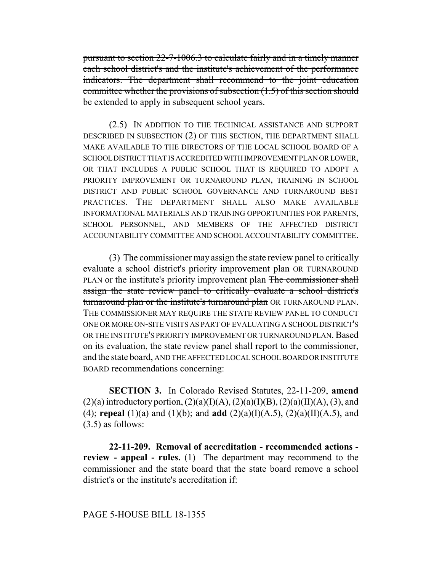pursuant to section 22-7-1006.3 to calculate fairly and in a timely manner each school district's and the institute's achievement of the performance indicators. The department shall recommend to the joint education committee whether the provisions of subsection (1.5) of this section should be extended to apply in subsequent school years.

(2.5) IN ADDITION TO THE TECHNICAL ASSISTANCE AND SUPPORT DESCRIBED IN SUBSECTION (2) OF THIS SECTION, THE DEPARTMENT SHALL MAKE AVAILABLE TO THE DIRECTORS OF THE LOCAL SCHOOL BOARD OF A SCHOOL DISTRICT THAT IS ACCREDITED WITH IMPROVEMENT PLAN OR LOWER, OR THAT INCLUDES A PUBLIC SCHOOL THAT IS REQUIRED TO ADOPT A PRIORITY IMPROVEMENT OR TURNAROUND PLAN, TRAINING IN SCHOOL DISTRICT AND PUBLIC SCHOOL GOVERNANCE AND TURNAROUND BEST PRACTICES. THE DEPARTMENT SHALL ALSO MAKE AVAILABLE INFORMATIONAL MATERIALS AND TRAINING OPPORTUNITIES FOR PARENTS, SCHOOL PERSONNEL, AND MEMBERS OF THE AFFECTED DISTRICT ACCOUNTABILITY COMMITTEE AND SCHOOL ACCOUNTABILITY COMMITTEE.

(3) The commissioner may assign the state review panel to critically evaluate a school district's priority improvement plan OR TURNAROUND PLAN or the institute's priority improvement plan The commissioner shall assign the state review panel to critically evaluate a school district's turnaround plan or the institute's turnaround plan OR TURNAROUND PLAN. THE COMMISSIONER MAY REQUIRE THE STATE REVIEW PANEL TO CONDUCT ONE OR MORE ON-SITE VISITS AS PART OF EVALUATING A SCHOOL DISTRICT'S OR THE INSTITUTE'S PRIORITY IMPROVEMENT OR TURNAROUND PLAN. Based on its evaluation, the state review panel shall report to the commissioner, and the state board, AND THE AFFECTED LOCAL SCHOOL BOARD OR INSTITUTE BOARD recommendations concerning:

**SECTION 3.** In Colorado Revised Statutes, 22-11-209, **amend**  $(2)(a)$  introductory portion,  $(2)(a)(I)(A)$ ,  $(2)(a)(I)(B)$ ,  $(2)(a)(II)(A)$ ,  $(3)$ , and (4); **repeal** (1)(a) and (1)(b); and **add** (2)(a)(I)(A.5), (2)(a)(II)(A.5), and (3.5) as follows:

**22-11-209. Removal of accreditation - recommended actions review - appeal - rules.** (1) The department may recommend to the commissioner and the state board that the state board remove a school district's or the institute's accreditation if:

## PAGE 5-HOUSE BILL 18-1355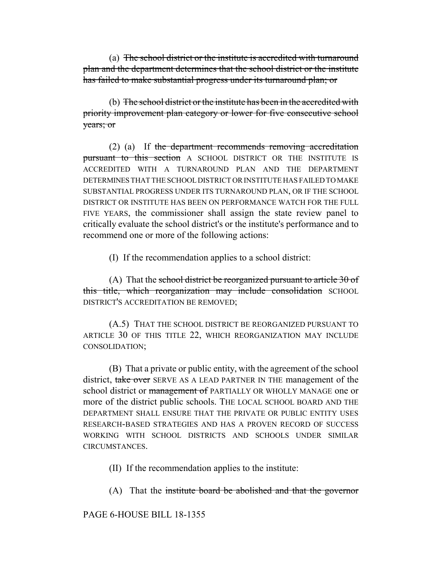(a) The school district or the institute is accredited with turnaround plan and the department determines that the school district or the institute has failed to make substantial progress under its turnaround plan; or

(b) The school district or the institute has been in the accredited with priority improvement plan category or lower for five consecutive school years; or

(2) (a) If the department recommends removing accreditation pursuant to this section A SCHOOL DISTRICT OR THE INSTITUTE IS ACCREDITED WITH A TURNAROUND PLAN AND THE DEPARTMENT DETERMINES THAT THE SCHOOL DISTRICT OR INSTITUTE HAS FAILED TO MAKE SUBSTANTIAL PROGRESS UNDER ITS TURNAROUND PLAN, OR IF THE SCHOOL DISTRICT OR INSTITUTE HAS BEEN ON PERFORMANCE WATCH FOR THE FULL FIVE YEARS, the commissioner shall assign the state review panel to critically evaluate the school district's or the institute's performance and to recommend one or more of the following actions:

(I) If the recommendation applies to a school district:

(A) That the school district be reorganized pursuant to article 30 of this title, which reorganization may include consolidation SCHOOL DISTRICT'S ACCREDITATION BE REMOVED;

(A.5) THAT THE SCHOOL DISTRICT BE REORGANIZED PURSUANT TO ARTICLE 30 OF THIS TITLE 22, WHICH REORGANIZATION MAY INCLUDE CONSOLIDATION;

(B) That a private or public entity, with the agreement of the school district, take over SERVE AS A LEAD PARTNER IN THE management of the school district or management of PARTIALLY OR WHOLLY MANAGE one or more of the district public schools. THE LOCAL SCHOOL BOARD AND THE DEPARTMENT SHALL ENSURE THAT THE PRIVATE OR PUBLIC ENTITY USES RESEARCH-BASED STRATEGIES AND HAS A PROVEN RECORD OF SUCCESS WORKING WITH SCHOOL DISTRICTS AND SCHOOLS UNDER SIMILAR CIRCUMSTANCES.

(II) If the recommendation applies to the institute:

(A) That the institute board be abolished and that the governor

PAGE 6-HOUSE BILL 18-1355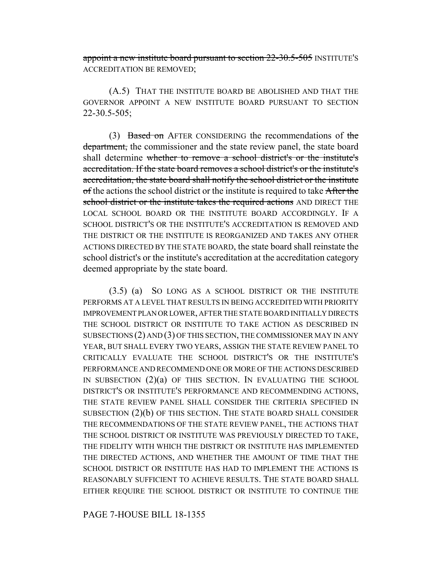appoint a new institute board pursuant to section 22-30.5-505 INSTITUTE'S ACCREDITATION BE REMOVED;

(A.5) THAT THE INSTITUTE BOARD BE ABOLISHED AND THAT THE GOVERNOR APPOINT A NEW INSTITUTE BOARD PURSUANT TO SECTION 22-30.5-505;

(3) Based on AFTER CONSIDERING the recommendations of the department, the commissioner and the state review panel, the state board shall determine whether to remove a school district's or the institute's accreditation. If the state board removes a school district's or the institute's accreditation, the state board shall notify the school district or the institute of the actions the school district or the institute is required to take After the school district or the institute takes the required actions AND DIRECT THE LOCAL SCHOOL BOARD OR THE INSTITUTE BOARD ACCORDINGLY. IF A SCHOOL DISTRICT'S OR THE INSTITUTE'S ACCREDITATION IS REMOVED AND THE DISTRICT OR THE INSTITUTE IS REORGANIZED AND TAKES ANY OTHER ACTIONS DIRECTED BY THE STATE BOARD, the state board shall reinstate the school district's or the institute's accreditation at the accreditation category deemed appropriate by the state board.

(3.5) (a) SO LONG AS A SCHOOL DISTRICT OR THE INSTITUTE PERFORMS AT A LEVEL THAT RESULTS IN BEING ACCREDITED WITH PRIORITY IMPROVEMENT PLAN OR LOWER, AFTER THE STATE BOARD INITIALLY DIRECTS THE SCHOOL DISTRICT OR INSTITUTE TO TAKE ACTION AS DESCRIBED IN SUBSECTIONS (2) AND (3) OF THIS SECTION, THE COMMISSIONER MAY IN ANY YEAR, BUT SHALL EVERY TWO YEARS, ASSIGN THE STATE REVIEW PANEL TO CRITICALLY EVALUATE THE SCHOOL DISTRICT'S OR THE INSTITUTE'S PERFORMANCE AND RECOMMEND ONE OR MORE OF THE ACTIONS DESCRIBED IN SUBSECTION (2)(a) OF THIS SECTION. IN EVALUATING THE SCHOOL DISTRICT'S OR INSTITUTE'S PERFORMANCE AND RECOMMENDING ACTIONS, THE STATE REVIEW PANEL SHALL CONSIDER THE CRITERIA SPECIFIED IN SUBSECTION (2)(b) OF THIS SECTION. THE STATE BOARD SHALL CONSIDER THE RECOMMENDATIONS OF THE STATE REVIEW PANEL, THE ACTIONS THAT THE SCHOOL DISTRICT OR INSTITUTE WAS PREVIOUSLY DIRECTED TO TAKE, THE FIDELITY WITH WHICH THE DISTRICT OR INSTITUTE HAS IMPLEMENTED THE DIRECTED ACTIONS, AND WHETHER THE AMOUNT OF TIME THAT THE SCHOOL DISTRICT OR INSTITUTE HAS HAD TO IMPLEMENT THE ACTIONS IS REASONABLY SUFFICIENT TO ACHIEVE RESULTS. THE STATE BOARD SHALL EITHER REQUIRE THE SCHOOL DISTRICT OR INSTITUTE TO CONTINUE THE

## PAGE 7-HOUSE BILL 18-1355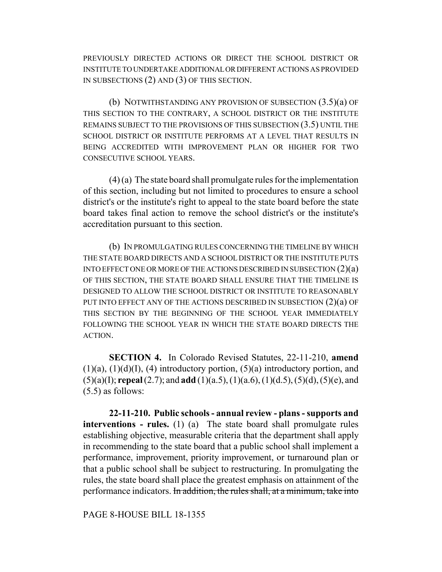PREVIOUSLY DIRECTED ACTIONS OR DIRECT THE SCHOOL DISTRICT OR INSTITUTE TO UNDERTAKE ADDITIONAL OR DIFFERENT ACTIONS AS PROVIDED IN SUBSECTIONS (2) AND (3) OF THIS SECTION.

(b) NOTWITHSTANDING ANY PROVISION OF SUBSECTION (3.5)(a) OF THIS SECTION TO THE CONTRARY, A SCHOOL DISTRICT OR THE INSTITUTE REMAINS SUBJECT TO THE PROVISIONS OF THIS SUBSECTION (3.5) UNTIL THE SCHOOL DISTRICT OR INSTITUTE PERFORMS AT A LEVEL THAT RESULTS IN BEING ACCREDITED WITH IMPROVEMENT PLAN OR HIGHER FOR TWO CONSECUTIVE SCHOOL YEARS.

(4) (a) The state board shall promulgate rules for the implementation of this section, including but not limited to procedures to ensure a school district's or the institute's right to appeal to the state board before the state board takes final action to remove the school district's or the institute's accreditation pursuant to this section.

(b) IN PROMULGATING RULES CONCERNING THE TIMELINE BY WHICH THE STATE BOARD DIRECTS AND A SCHOOL DISTRICT OR THE INSTITUTE PUTS INTO EFFECT ONE OR MORE OF THE ACTIONS DESCRIBED IN SUBSECTION (2)(a) OF THIS SECTION, THE STATE BOARD SHALL ENSURE THAT THE TIMELINE IS DESIGNED TO ALLOW THE SCHOOL DISTRICT OR INSTITUTE TO REASONABLY PUT INTO EFFECT ANY OF THE ACTIONS DESCRIBED IN SUBSECTION (2)(a) OF THIS SECTION BY THE BEGINNING OF THE SCHOOL YEAR IMMEDIATELY FOLLOWING THE SCHOOL YEAR IN WHICH THE STATE BOARD DIRECTS THE **ACTION** 

**SECTION 4.** In Colorado Revised Statutes, 22-11-210, **amend**  $(1)(a)$ ,  $(1)(d)(I)$ ,  $(4)$  introductory portion,  $(5)(a)$  introductory portion, and (5)(a)(I); **repeal** (2.7); and **add** (1)(a.5), (1)(a.6), (1)(d.5), (5)(d), (5)(e), and (5.5) as follows:

**22-11-210. Public schools - annual review - plans - supports and interventions - rules.** (1) (a) The state board shall promulgate rules establishing objective, measurable criteria that the department shall apply in recommending to the state board that a public school shall implement a performance, improvement, priority improvement, or turnaround plan or that a public school shall be subject to restructuring. In promulgating the rules, the state board shall place the greatest emphasis on attainment of the performance indicators. In addition, the rules shall, at a minimum, take into

PAGE 8-HOUSE BILL 18-1355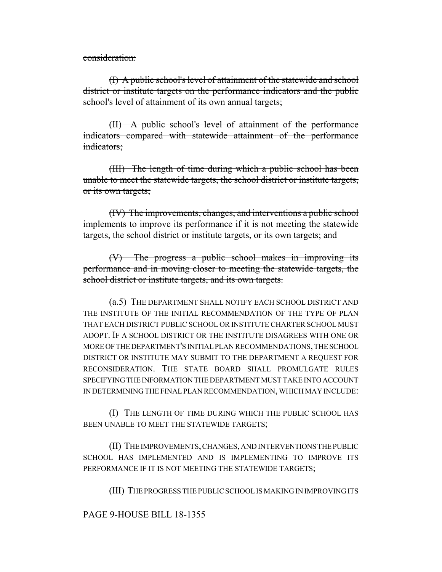consideration:

(I) A public school's level of attainment of the statewide and school district or institute targets on the performance indicators and the public school's level of attainment of its own annual targets;

(II) A public school's level of attainment of the performance indicators compared with statewide attainment of the performance indicators;

(III) The length of time during which a public school has been unable to meet the statewide targets, the school district or institute targets, or its own targets;

(IV) The improvements, changes, and interventions a public school implements to improve its performance if it is not meeting the statewide targets, the school district or institute targets, or its own targets; and

(V) The progress a public school makes in improving its performance and in moving closer to meeting the statewide targets, the school district or institute targets, and its own targets.

(a.5) THE DEPARTMENT SHALL NOTIFY EACH SCHOOL DISTRICT AND THE INSTITUTE OF THE INITIAL RECOMMENDATION OF THE TYPE OF PLAN THAT EACH DISTRICT PUBLIC SCHOOL OR INSTITUTE CHARTER SCHOOL MUST ADOPT. IF A SCHOOL DISTRICT OR THE INSTITUTE DISAGREES WITH ONE OR MORE OF THE DEPARTMENT'S INITIAL PLAN RECOMMENDATIONS, THE SCHOOL DISTRICT OR INSTITUTE MAY SUBMIT TO THE DEPARTMENT A REQUEST FOR RECONSIDERATION. THE STATE BOARD SHALL PROMULGATE RULES SPECIFYING THE INFORMATION THE DEPARTMENT MUST TAKE INTO ACCOUNT IN DETERMINING THE FINAL PLAN RECOMMENDATION, WHICH MAY INCLUDE:

(I) THE LENGTH OF TIME DURING WHICH THE PUBLIC SCHOOL HAS BEEN UNABLE TO MEET THE STATEWIDE TARGETS;

(II) THE IMPROVEMENTS, CHANGES, AND INTERVENTIONS THE PUBLIC SCHOOL HAS IMPLEMENTED AND IS IMPLEMENTING TO IMPROVE ITS PERFORMANCE IF IT IS NOT MEETING THE STATEWIDE TARGETS;

(III) THE PROGRESS THE PUBLIC SCHOOL IS MAKING IN IMPROVING ITS

PAGE 9-HOUSE BILL 18-1355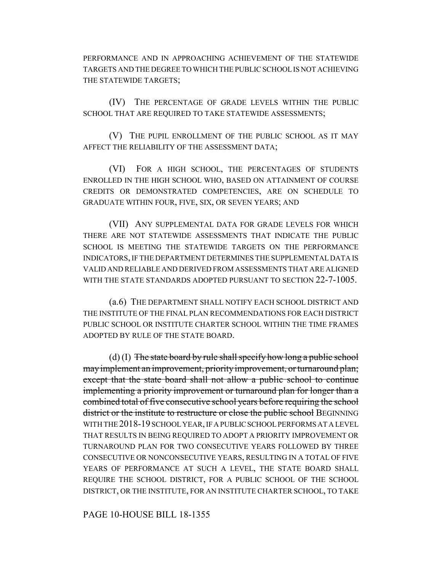PERFORMANCE AND IN APPROACHING ACHIEVEMENT OF THE STATEWIDE TARGETS AND THE DEGREE TO WHICH THE PUBLIC SCHOOL IS NOT ACHIEVING THE STATEWIDE TARGETS;

(IV) THE PERCENTAGE OF GRADE LEVELS WITHIN THE PUBLIC SCHOOL THAT ARE REQUIRED TO TAKE STATEWIDE ASSESSMENTS;

(V) THE PUPIL ENROLLMENT OF THE PUBLIC SCHOOL AS IT MAY AFFECT THE RELIABILITY OF THE ASSESSMENT DATA;

(VI) FOR A HIGH SCHOOL, THE PERCENTAGES OF STUDENTS ENROLLED IN THE HIGH SCHOOL WHO, BASED ON ATTAINMENT OF COURSE CREDITS OR DEMONSTRATED COMPETENCIES, ARE ON SCHEDULE TO GRADUATE WITHIN FOUR, FIVE, SIX, OR SEVEN YEARS; AND

(VII) ANY SUPPLEMENTAL DATA FOR GRADE LEVELS FOR WHICH THERE ARE NOT STATEWIDE ASSESSMENTS THAT INDICATE THE PUBLIC SCHOOL IS MEETING THE STATEWIDE TARGETS ON THE PERFORMANCE INDICATORS, IF THE DEPARTMENT DETERMINES THE SUPPLEMENTAL DATA IS VALID AND RELIABLE AND DERIVED FROM ASSESSMENTS THAT ARE ALIGNED WITH THE STATE STANDARDS ADOPTED PURSUANT TO SECTION 22-7-1005.

(a.6) THE DEPARTMENT SHALL NOTIFY EACH SCHOOL DISTRICT AND THE INSTITUTE OF THE FINAL PLAN RECOMMENDATIONS FOR EACH DISTRICT PUBLIC SCHOOL OR INSTITUTE CHARTER SCHOOL WITHIN THE TIME FRAMES ADOPTED BY RULE OF THE STATE BOARD.

(d) (I) The state board by rule shall specify how long a public school may implement an improvement, priority improvement, or turnaround plan; except that the state board shall not allow a public school to continue implementing a priority improvement or turnaround plan for longer than a combined total of five consecutive school years before requiring the school district or the institute to restructure or close the public school BEGINNING WITH THE 2018-19 SCHOOL YEAR, IF A PUBLIC SCHOOL PERFORMS AT A LEVEL THAT RESULTS IN BEING REQUIRED TO ADOPT A PRIORITY IMPROVEMENT OR TURNAROUND PLAN FOR TWO CONSECUTIVE YEARS FOLLOWED BY THREE CONSECUTIVE OR NONCONSECUTIVE YEARS, RESULTING IN A TOTAL OF FIVE YEARS OF PERFORMANCE AT SUCH A LEVEL, THE STATE BOARD SHALL REQUIRE THE SCHOOL DISTRICT, FOR A PUBLIC SCHOOL OF THE SCHOOL DISTRICT, OR THE INSTITUTE, FOR AN INSTITUTE CHARTER SCHOOL, TO TAKE

PAGE 10-HOUSE BILL 18-1355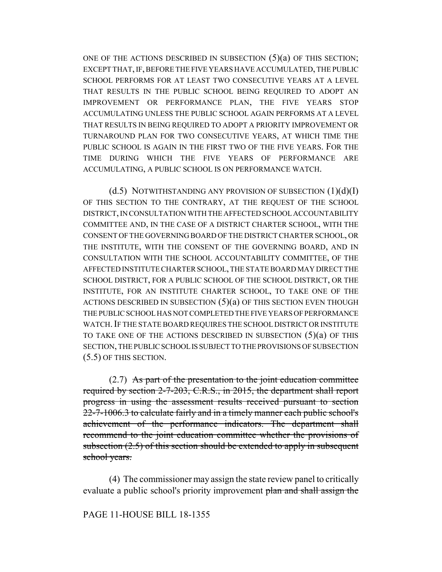ONE OF THE ACTIONS DESCRIBED IN SUBSECTION  $(5)(a)$  OF THIS SECTION; EXCEPT THAT, IF, BEFORE THE FIVE YEARS HAVE ACCUMULATED, THE PUBLIC SCHOOL PERFORMS FOR AT LEAST TWO CONSECUTIVE YEARS AT A LEVEL THAT RESULTS IN THE PUBLIC SCHOOL BEING REQUIRED TO ADOPT AN IMPROVEMENT OR PERFORMANCE PLAN, THE FIVE YEARS STOP ACCUMULATING UNLESS THE PUBLIC SCHOOL AGAIN PERFORMS AT A LEVEL THAT RESULTS IN BEING REQUIRED TO ADOPT A PRIORITY IMPROVEMENT OR TURNAROUND PLAN FOR TWO CONSECUTIVE YEARS, AT WHICH TIME THE PUBLIC SCHOOL IS AGAIN IN THE FIRST TWO OF THE FIVE YEARS. FOR THE TIME DURING WHICH THE FIVE YEARS OF PERFORMANCE ARE ACCUMULATING, A PUBLIC SCHOOL IS ON PERFORMANCE WATCH.

 $(d.5)$  NOTWITHSTANDING ANY PROVISION OF SUBSECTION  $(1)(d)(I)$ OF THIS SECTION TO THE CONTRARY, AT THE REQUEST OF THE SCHOOL DISTRICT, IN CONSULTATION WITH THE AFFECTED SCHOOL ACCOUNTABILITY COMMITTEE AND, IN THE CASE OF A DISTRICT CHARTER SCHOOL, WITH THE CONSENT OF THE GOVERNING BOARD OF THE DISTRICT CHARTER SCHOOL, OR THE INSTITUTE, WITH THE CONSENT OF THE GOVERNING BOARD, AND IN CONSULTATION WITH THE SCHOOL ACCOUNTABILITY COMMITTEE, OF THE AFFECTED INSTITUTE CHARTER SCHOOL, THE STATE BOARD MAY DIRECT THE SCHOOL DISTRICT, FOR A PUBLIC SCHOOL OF THE SCHOOL DISTRICT, OR THE INSTITUTE, FOR AN INSTITUTE CHARTER SCHOOL, TO TAKE ONE OF THE ACTIONS DESCRIBED IN SUBSECTION (5)(a) OF THIS SECTION EVEN THOUGH THE PUBLIC SCHOOL HAS NOT COMPLETED THE FIVE YEARS OF PERFORMANCE WATCH.IF THE STATE BOARD REQUIRES THE SCHOOL DISTRICT OR INSTITUTE TO TAKE ONE OF THE ACTIONS DESCRIBED IN SUBSECTION (5)(a) OF THIS SECTION, THE PUBLIC SCHOOL IS SUBJECT TO THE PROVISIONS OF SUBSECTION (5.5) OF THIS SECTION.

(2.7) As part of the presentation to the joint education committee required by section 2-7-203, C.R.S., in 2015, the department shall report progress in using the assessment results received pursuant to section 22-7-1006.3 to calculate fairly and in a timely manner each public school's achievement of the performance indicators. The department shall recommend to the joint education committee whether the provisions of subsection  $(2.5)$  of this section should be extended to apply in subsequent school years.

(4) The commissioner may assign the state review panel to critically evaluate a public school's priority improvement plan and shall assign the

## PAGE 11-HOUSE BILL 18-1355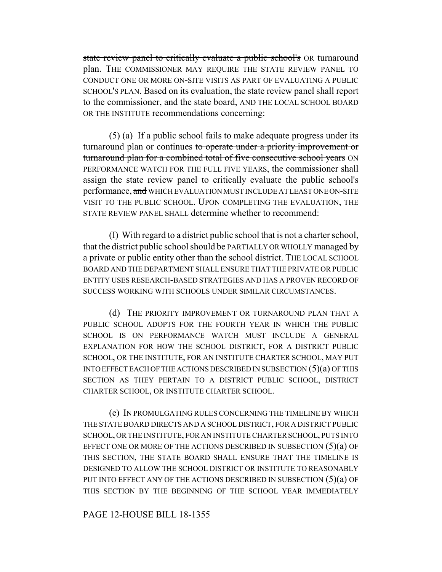state review panel to critically evaluate a public school's OR turnaround plan. THE COMMISSIONER MAY REQUIRE THE STATE REVIEW PANEL TO CONDUCT ONE OR MORE ON-SITE VISITS AS PART OF EVALUATING A PUBLIC SCHOOL'S PLAN. Based on its evaluation, the state review panel shall report to the commissioner, and the state board, AND THE LOCAL SCHOOL BOARD OR THE INSTITUTE recommendations concerning:

(5) (a) If a public school fails to make adequate progress under its turnaround plan or continues to operate under a priority improvement or turnaround plan for a combined total of five consecutive school years ON PERFORMANCE WATCH FOR THE FULL FIVE YEARS, the commissioner shall assign the state review panel to critically evaluate the public school's performance, and WHICH EVALUATION MUST INCLUDE AT LEAST ONE ON-SITE VISIT TO THE PUBLIC SCHOOL. UPON COMPLETING THE EVALUATION, THE STATE REVIEW PANEL SHALL determine whether to recommend:

(I) With regard to a district public school that is not a charter school, that the district public school should be PARTIALLY OR WHOLLY managed by a private or public entity other than the school district. THE LOCAL SCHOOL BOARD AND THE DEPARTMENT SHALL ENSURE THAT THE PRIVATE OR PUBLIC ENTITY USES RESEARCH-BASED STRATEGIES AND HAS A PROVEN RECORD OF SUCCESS WORKING WITH SCHOOLS UNDER SIMILAR CIRCUMSTANCES.

(d) THE PRIORITY IMPROVEMENT OR TURNAROUND PLAN THAT A PUBLIC SCHOOL ADOPTS FOR THE FOURTH YEAR IN WHICH THE PUBLIC SCHOOL IS ON PERFORMANCE WATCH MUST INCLUDE A GENERAL EXPLANATION FOR HOW THE SCHOOL DISTRICT, FOR A DISTRICT PUBLIC SCHOOL, OR THE INSTITUTE, FOR AN INSTITUTE CHARTER SCHOOL, MAY PUT INTO EFFECT EACH OF THE ACTIONS DESCRIBED IN SUBSECTION  $(5)(a)$  OF THIS SECTION AS THEY PERTAIN TO A DISTRICT PUBLIC SCHOOL, DISTRICT CHARTER SCHOOL, OR INSTITUTE CHARTER SCHOOL.

(e) IN PROMULGATING RULES CONCERNING THE TIMELINE BY WHICH THE STATE BOARD DIRECTS AND A SCHOOL DISTRICT, FOR A DISTRICT PUBLIC SCHOOL, OR THE INSTITUTE, FOR AN INSTITUTE CHARTER SCHOOL, PUTS INTO EFFECT ONE OR MORE OF THE ACTIONS DESCRIBED IN SUBSECTION (5)(a) OF THIS SECTION, THE STATE BOARD SHALL ENSURE THAT THE TIMELINE IS DESIGNED TO ALLOW THE SCHOOL DISTRICT OR INSTITUTE TO REASONABLY PUT INTO EFFECT ANY OF THE ACTIONS DESCRIBED IN SUBSECTION  $(5)(a)$  OF THIS SECTION BY THE BEGINNING OF THE SCHOOL YEAR IMMEDIATELY

PAGE 12-HOUSE BILL 18-1355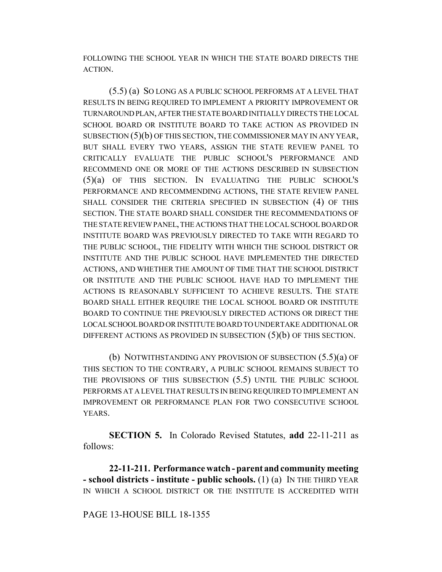FOLLOWING THE SCHOOL YEAR IN WHICH THE STATE BOARD DIRECTS THE ACTION.

(5.5) (a) SO LONG AS A PUBLIC SCHOOL PERFORMS AT A LEVEL THAT RESULTS IN BEING REQUIRED TO IMPLEMENT A PRIORITY IMPROVEMENT OR TURNAROUND PLAN, AFTER THE STATE BOARD INITIALLY DIRECTS THE LOCAL SCHOOL BOARD OR INSTITUTE BOARD TO TAKE ACTION AS PROVIDED IN SUBSECTION (5)(b) OF THIS SECTION, THE COMMISSIONER MAY IN ANY YEAR, BUT SHALL EVERY TWO YEARS, ASSIGN THE STATE REVIEW PANEL TO CRITICALLY EVALUATE THE PUBLIC SCHOOL'S PERFORMANCE AND RECOMMEND ONE OR MORE OF THE ACTIONS DESCRIBED IN SUBSECTION (5)(a) OF THIS SECTION. IN EVALUATING THE PUBLIC SCHOOL'S PERFORMANCE AND RECOMMENDING ACTIONS, THE STATE REVIEW PANEL SHALL CONSIDER THE CRITERIA SPECIFIED IN SUBSECTION (4) OF THIS SECTION. THE STATE BOARD SHALL CONSIDER THE RECOMMENDATIONS OF THE STATE REVIEW PANEL, THE ACTIONS THAT THE LOCAL SCHOOL BOARD OR INSTITUTE BOARD WAS PREVIOUSLY DIRECTED TO TAKE WITH REGARD TO THE PUBLIC SCHOOL, THE FIDELITY WITH WHICH THE SCHOOL DISTRICT OR INSTITUTE AND THE PUBLIC SCHOOL HAVE IMPLEMENTED THE DIRECTED ACTIONS, AND WHETHER THE AMOUNT OF TIME THAT THE SCHOOL DISTRICT OR INSTITUTE AND THE PUBLIC SCHOOL HAVE HAD TO IMPLEMENT THE ACTIONS IS REASONABLY SUFFICIENT TO ACHIEVE RESULTS. THE STATE BOARD SHALL EITHER REQUIRE THE LOCAL SCHOOL BOARD OR INSTITUTE BOARD TO CONTINUE THE PREVIOUSLY DIRECTED ACTIONS OR DIRECT THE LOCAL SCHOOL BOARD OR INSTITUTE BOARD TO UNDERTAKE ADDITIONAL OR DIFFERENT ACTIONS AS PROVIDED IN SUBSECTION  $(5)(b)$  OF THIS SECTION.

(b) NOTWITHSTANDING ANY PROVISION OF SUBSECTION (5.5)(a) OF THIS SECTION TO THE CONTRARY, A PUBLIC SCHOOL REMAINS SUBJECT TO THE PROVISIONS OF THIS SUBSECTION (5.5) UNTIL THE PUBLIC SCHOOL PERFORMS AT A LEVEL THAT RESULTS IN BEING REQUIRED TO IMPLEMENT AN IMPROVEMENT OR PERFORMANCE PLAN FOR TWO CONSECUTIVE SCHOOL YEARS.

**SECTION 5.** In Colorado Revised Statutes, **add** 22-11-211 as follows:

**22-11-211. Performance watch - parent and community meeting - school districts - institute - public schools.** (1) (a) IN THE THIRD YEAR IN WHICH A SCHOOL DISTRICT OR THE INSTITUTE IS ACCREDITED WITH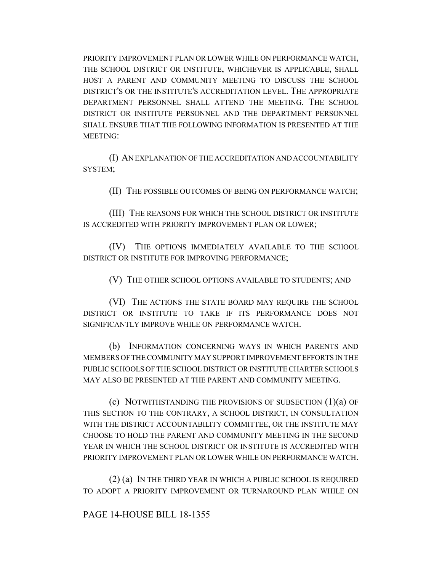PRIORITY IMPROVEMENT PLAN OR LOWER WHILE ON PERFORMANCE WATCH, THE SCHOOL DISTRICT OR INSTITUTE, WHICHEVER IS APPLICABLE, SHALL HOST A PARENT AND COMMUNITY MEETING TO DISCUSS THE SCHOOL DISTRICT'S OR THE INSTITUTE'S ACCREDITATION LEVEL. THE APPROPRIATE DEPARTMENT PERSONNEL SHALL ATTEND THE MEETING. THE SCHOOL DISTRICT OR INSTITUTE PERSONNEL AND THE DEPARTMENT PERSONNEL SHALL ENSURE THAT THE FOLLOWING INFORMATION IS PRESENTED AT THE MEETING:

(I) AN EXPLANATION OF THE ACCREDITATION AND ACCOUNTABILITY SYSTEM;

(II) THE POSSIBLE OUTCOMES OF BEING ON PERFORMANCE WATCH;

(III) THE REASONS FOR WHICH THE SCHOOL DISTRICT OR INSTITUTE IS ACCREDITED WITH PRIORITY IMPROVEMENT PLAN OR LOWER;

(IV) THE OPTIONS IMMEDIATELY AVAILABLE TO THE SCHOOL DISTRICT OR INSTITUTE FOR IMPROVING PERFORMANCE;

(V) THE OTHER SCHOOL OPTIONS AVAILABLE TO STUDENTS; AND

(VI) THE ACTIONS THE STATE BOARD MAY REQUIRE THE SCHOOL DISTRICT OR INSTITUTE TO TAKE IF ITS PERFORMANCE DOES NOT SIGNIFICANTLY IMPROVE WHILE ON PERFORMANCE WATCH.

(b) INFORMATION CONCERNING WAYS IN WHICH PARENTS AND MEMBERS OF THE COMMUNITY MAY SUPPORT IMPROVEMENT EFFORTS IN THE PUBLIC SCHOOLS OF THE SCHOOL DISTRICT OR INSTITUTE CHARTER SCHOOLS MAY ALSO BE PRESENTED AT THE PARENT AND COMMUNITY MEETING.

(c) NOTWITHSTANDING THE PROVISIONS OF SUBSECTION (1)(a) OF THIS SECTION TO THE CONTRARY, A SCHOOL DISTRICT, IN CONSULTATION WITH THE DISTRICT ACCOUNTABILITY COMMITTEE, OR THE INSTITUTE MAY CHOOSE TO HOLD THE PARENT AND COMMUNITY MEETING IN THE SECOND YEAR IN WHICH THE SCHOOL DISTRICT OR INSTITUTE IS ACCREDITED WITH PRIORITY IMPROVEMENT PLAN OR LOWER WHILE ON PERFORMANCE WATCH.

(2) (a) IN THE THIRD YEAR IN WHICH A PUBLIC SCHOOL IS REQUIRED TO ADOPT A PRIORITY IMPROVEMENT OR TURNAROUND PLAN WHILE ON

PAGE 14-HOUSE BILL 18-1355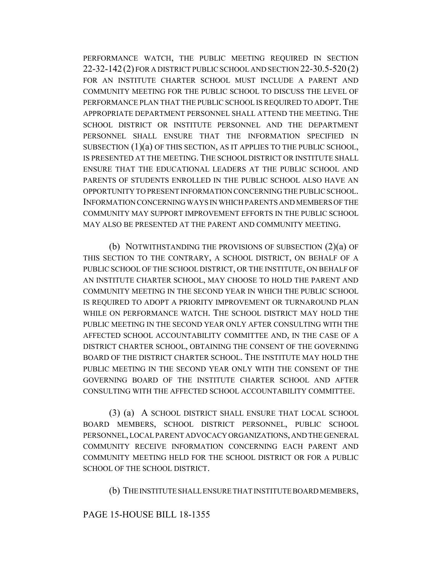PERFORMANCE WATCH, THE PUBLIC MEETING REQUIRED IN SECTION 22-32-142(2) FOR A DISTRICT PUBLIC SCHOOL AND SECTION 22-30.5-520 (2) FOR AN INSTITUTE CHARTER SCHOOL MUST INCLUDE A PARENT AND COMMUNITY MEETING FOR THE PUBLIC SCHOOL TO DISCUSS THE LEVEL OF PERFORMANCE PLAN THAT THE PUBLIC SCHOOL IS REQUIRED TO ADOPT. THE APPROPRIATE DEPARTMENT PERSONNEL SHALL ATTEND THE MEETING. THE SCHOOL DISTRICT OR INSTITUTE PERSONNEL AND THE DEPARTMENT PERSONNEL SHALL ENSURE THAT THE INFORMATION SPECIFIED IN SUBSECTION (1)(a) OF THIS SECTION, AS IT APPLIES TO THE PUBLIC SCHOOL, IS PRESENTED AT THE MEETING. THE SCHOOL DISTRICT OR INSTITUTE SHALL ENSURE THAT THE EDUCATIONAL LEADERS AT THE PUBLIC SCHOOL AND PARENTS OF STUDENTS ENROLLED IN THE PUBLIC SCHOOL ALSO HAVE AN OPPORTUNITY TO PRESENT INFORMATION CONCERNING THE PUBLIC SCHOOL. INFORMATION CONCERNING WAYS IN WHICH PARENTS AND MEMBERS OF THE COMMUNITY MAY SUPPORT IMPROVEMENT EFFORTS IN THE PUBLIC SCHOOL MAY ALSO BE PRESENTED AT THE PARENT AND COMMUNITY MEETING.

(b) NOTWITHSTANDING THE PROVISIONS OF SUBSECTION (2)(a) OF THIS SECTION TO THE CONTRARY, A SCHOOL DISTRICT, ON BEHALF OF A PUBLIC SCHOOL OF THE SCHOOL DISTRICT, OR THE INSTITUTE, ON BEHALF OF AN INSTITUTE CHARTER SCHOOL, MAY CHOOSE TO HOLD THE PARENT AND COMMUNITY MEETING IN THE SECOND YEAR IN WHICH THE PUBLIC SCHOOL IS REQUIRED TO ADOPT A PRIORITY IMPROVEMENT OR TURNAROUND PLAN WHILE ON PERFORMANCE WATCH. THE SCHOOL DISTRICT MAY HOLD THE PUBLIC MEETING IN THE SECOND YEAR ONLY AFTER CONSULTING WITH THE AFFECTED SCHOOL ACCOUNTABILITY COMMITTEE AND, IN THE CASE OF A DISTRICT CHARTER SCHOOL, OBTAINING THE CONSENT OF THE GOVERNING BOARD OF THE DISTRICT CHARTER SCHOOL. THE INSTITUTE MAY HOLD THE PUBLIC MEETING IN THE SECOND YEAR ONLY WITH THE CONSENT OF THE GOVERNING BOARD OF THE INSTITUTE CHARTER SCHOOL AND AFTER CONSULTING WITH THE AFFECTED SCHOOL ACCOUNTABILITY COMMITTEE.

(3) (a) A SCHOOL DISTRICT SHALL ENSURE THAT LOCAL SCHOOL BOARD MEMBERS, SCHOOL DISTRICT PERSONNEL, PUBLIC SCHOOL PERSONNEL, LOCAL PARENT ADVOCACY ORGANIZATIONS, AND THE GENERAL COMMUNITY RECEIVE INFORMATION CONCERNING EACH PARENT AND COMMUNITY MEETING HELD FOR THE SCHOOL DISTRICT OR FOR A PUBLIC SCHOOL OF THE SCHOOL DISTRICT.

(b) THE INSTITUTE SHALL ENSURE THAT INSTITUTE BOARD MEMBERS,

### PAGE 15-HOUSE BILL 18-1355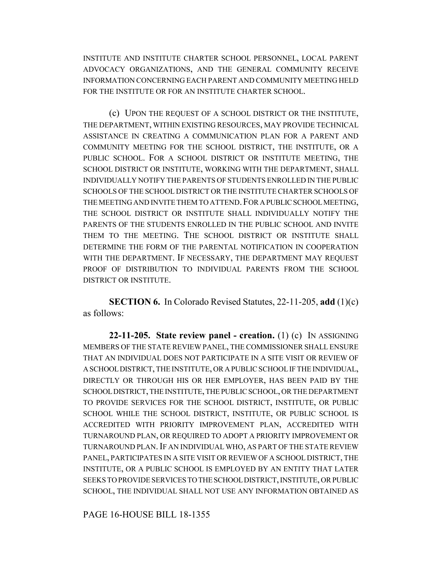INSTITUTE AND INSTITUTE CHARTER SCHOOL PERSONNEL, LOCAL PARENT ADVOCACY ORGANIZATIONS, AND THE GENERAL COMMUNITY RECEIVE INFORMATION CONCERNING EACH PARENT AND COMMUNITY MEETING HELD FOR THE INSTITUTE OR FOR AN INSTITUTE CHARTER SCHOOL.

(c) UPON THE REQUEST OF A SCHOOL DISTRICT OR THE INSTITUTE, THE DEPARTMENT, WITHIN EXISTING RESOURCES, MAY PROVIDE TECHNICAL ASSISTANCE IN CREATING A COMMUNICATION PLAN FOR A PARENT AND COMMUNITY MEETING FOR THE SCHOOL DISTRICT, THE INSTITUTE, OR A PUBLIC SCHOOL. FOR A SCHOOL DISTRICT OR INSTITUTE MEETING, THE SCHOOL DISTRICT OR INSTITUTE, WORKING WITH THE DEPARTMENT, SHALL INDIVIDUALLY NOTIFY THE PARENTS OF STUDENTS ENROLLED IN THE PUBLIC SCHOOLS OF THE SCHOOL DISTRICT OR THE INSTITUTE CHARTER SCHOOLS OF THE MEETING AND INVITE THEM TO ATTEND. FOR A PUBLIC SCHOOL MEETING, THE SCHOOL DISTRICT OR INSTITUTE SHALL INDIVIDUALLY NOTIFY THE PARENTS OF THE STUDENTS ENROLLED IN THE PUBLIC SCHOOL AND INVITE THEM TO THE MEETING. THE SCHOOL DISTRICT OR INSTITUTE SHALL DETERMINE THE FORM OF THE PARENTAL NOTIFICATION IN COOPERATION WITH THE DEPARTMENT. IF NECESSARY, THE DEPARTMENT MAY REQUEST PROOF OF DISTRIBUTION TO INDIVIDUAL PARENTS FROM THE SCHOOL DISTRICT OR INSTITUTE.

**SECTION 6.** In Colorado Revised Statutes, 22-11-205, **add** (1)(c) as follows:

**22-11-205. State review panel - creation.** (1) (c) IN ASSIGNING MEMBERS OF THE STATE REVIEW PANEL, THE COMMISSIONER SHALL ENSURE THAT AN INDIVIDUAL DOES NOT PARTICIPATE IN A SITE VISIT OR REVIEW OF A SCHOOL DISTRICT, THE INSTITUTE, OR A PUBLIC SCHOOL IF THE INDIVIDUAL, DIRECTLY OR THROUGH HIS OR HER EMPLOYER, HAS BEEN PAID BY THE SCHOOL DISTRICT, THE INSTITUTE, THE PUBLIC SCHOOL, OR THE DEPARTMENT TO PROVIDE SERVICES FOR THE SCHOOL DISTRICT, INSTITUTE, OR PUBLIC SCHOOL WHILE THE SCHOOL DISTRICT, INSTITUTE, OR PUBLIC SCHOOL IS ACCREDITED WITH PRIORITY IMPROVEMENT PLAN, ACCREDITED WITH TURNAROUND PLAN, OR REQUIRED TO ADOPT A PRIORITY IMPROVEMENT OR TURNAROUND PLAN.IF AN INDIVIDUAL WHO, AS PART OF THE STATE REVIEW PANEL, PARTICIPATES IN A SITE VISIT OR REVIEW OF A SCHOOL DISTRICT, THE INSTITUTE, OR A PUBLIC SCHOOL IS EMPLOYED BY AN ENTITY THAT LATER SEEKS TO PROVIDE SERVICES TO THE SCHOOL DISTRICT, INSTITUTE, OR PUBLIC SCHOOL, THE INDIVIDUAL SHALL NOT USE ANY INFORMATION OBTAINED AS

PAGE 16-HOUSE BILL 18-1355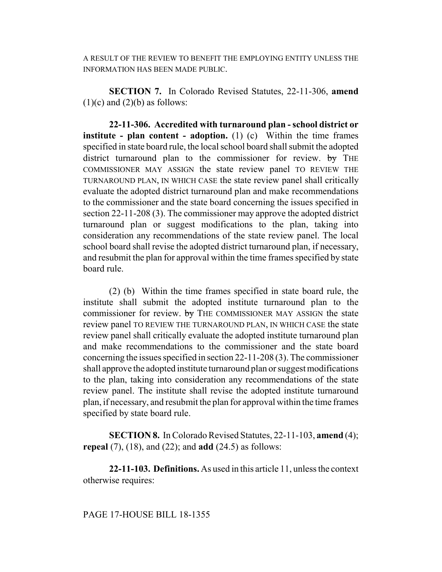A RESULT OF THE REVIEW TO BENEFIT THE EMPLOYING ENTITY UNLESS THE INFORMATION HAS BEEN MADE PUBLIC.

**SECTION 7.** In Colorado Revised Statutes, 22-11-306, **amend**  $(1)(c)$  and  $(2)(b)$  as follows:

**22-11-306. Accredited with turnaround plan - school district or institute - plan content - adoption.** (1) (c) Within the time frames specified in state board rule, the local school board shall submit the adopted district turnaround plan to the commissioner for review. by THE COMMISSIONER MAY ASSIGN the state review panel TO REVIEW THE TURNAROUND PLAN, IN WHICH CASE the state review panel shall critically evaluate the adopted district turnaround plan and make recommendations to the commissioner and the state board concerning the issues specified in section 22-11-208 (3). The commissioner may approve the adopted district turnaround plan or suggest modifications to the plan, taking into consideration any recommendations of the state review panel. The local school board shall revise the adopted district turnaround plan, if necessary, and resubmit the plan for approval within the time frames specified by state board rule.

(2) (b) Within the time frames specified in state board rule, the institute shall submit the adopted institute turnaround plan to the commissioner for review. by THE COMMISSIONER MAY ASSIGN the state review panel TO REVIEW THE TURNAROUND PLAN, IN WHICH CASE the state review panel shall critically evaluate the adopted institute turnaround plan and make recommendations to the commissioner and the state board concerning the issues specified in section 22-11-208 (3). The commissioner shall approve the adopted institute turnaround plan or suggest modifications to the plan, taking into consideration any recommendations of the state review panel. The institute shall revise the adopted institute turnaround plan, if necessary, and resubmit the plan for approval within the time frames specified by state board rule.

**SECTION 8.** In Colorado Revised Statutes, 22-11-103, **amend** (4); **repeal** (7), (18), and (22); and **add** (24.5) as follows:

**22-11-103. Definitions.** As used in this article 11, unless the context otherwise requires: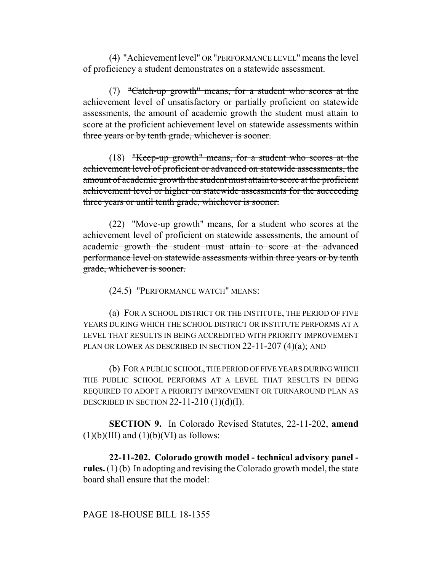(4) "Achievement level" OR "PERFORMANCE LEVEL" means the level of proficiency a student demonstrates on a statewide assessment.

(7) "Catch-up growth" means, for a student who scores at the achievement level of unsatisfactory or partially proficient on statewide assessments, the amount of academic growth the student must attain to score at the proficient achievement level on statewide assessments within three years or by tenth grade, whichever is sooner.

(18) "Keep-up growth" means, for a student who scores at the achievement level of proficient or advanced on statewide assessments, the amount of academic growth the student must attain to score at the proficient achievement level or higher on statewide assessments for the succeeding three years or until tenth grade, whichever is sooner.

(22) "Move-up growth" means, for a student who scores at the achievement level of proficient on statewide assessments, the amount of academic growth the student must attain to score at the advanced performance level on statewide assessments within three years or by tenth grade, whichever is sooner.

(24.5) "PERFORMANCE WATCH" MEANS:

(a) FOR A SCHOOL DISTRICT OR THE INSTITUTE, THE PERIOD OF FIVE YEARS DURING WHICH THE SCHOOL DISTRICT OR INSTITUTE PERFORMS AT A LEVEL THAT RESULTS IN BEING ACCREDITED WITH PRIORITY IMPROVEMENT PLAN OR LOWER AS DESCRIBED IN SECTION 22-11-207 (4)(a); AND

(b) FOR A PUBLIC SCHOOL, THE PERIOD OF FIVE YEARS DURING WHICH THE PUBLIC SCHOOL PERFORMS AT A LEVEL THAT RESULTS IN BEING REQUIRED TO ADOPT A PRIORITY IMPROVEMENT OR TURNAROUND PLAN AS DESCRIBED IN SECTION  $22-11-210$   $(1)(d)(I)$ .

**SECTION 9.** In Colorado Revised Statutes, 22-11-202, **amend**  $(1)(b)(III)$  and  $(1)(b)(VI)$  as follows:

**22-11-202. Colorado growth model - technical advisory panel rules.** (1) (b) In adopting and revising the Colorado growth model, the state board shall ensure that the model: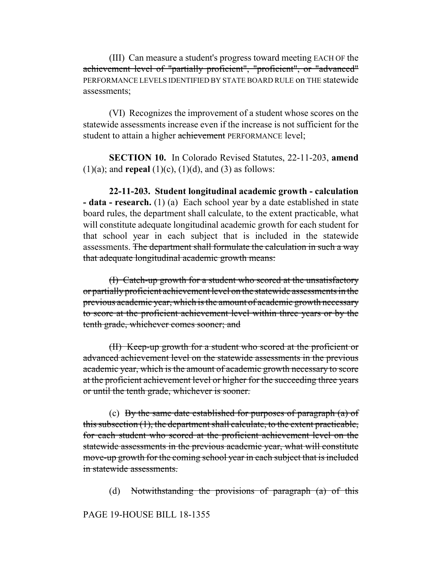(III) Can measure a student's progress toward meeting EACH OF the achievement level of "partially proficient", "proficient", or "advanced" PERFORMANCE LEVELS IDENTIFIED BY STATE BOARD RULE on THE statewide assessments;

(VI) Recognizes the improvement of a student whose scores on the statewide assessments increase even if the increase is not sufficient for the student to attain a higher achievement PERFORMANCE level;

**SECTION 10.** In Colorado Revised Statutes, 22-11-203, **amend**  $(1)(a)$ ; and **repeal**  $(1)(c)$ ,  $(1)(d)$ , and  $(3)$  as follows:

**22-11-203. Student longitudinal academic growth - calculation - data - research.** (1) (a) Each school year by a date established in state board rules, the department shall calculate, to the extent practicable, what will constitute adequate longitudinal academic growth for each student for that school year in each subject that is included in the statewide assessments. The department shall formulate the calculation in such a way that adequate longitudinal academic growth means:

(I) Catch-up growth for a student who scored at the unsatisfactory or partially proficient achievement level on the statewide assessments in the previous academic year, which is the amount of academic growth necessary to score at the proficient achievement level within three years or by the tenth grade, whichever comes sooner; and

(II) Keep-up growth for a student who scored at the proficient or advanced achievement level on the statewide assessments in the previous academic year, which is the amount of academic growth necessary to score at the proficient achievement level or higher for the succeeding three years or until the tenth grade, whichever is sooner.

(c) By the same date established for purposes of paragraph  $(a)$  of this subsection (1), the department shall calculate, to the extent practicable, for each student who scored at the proficient achievement level on the statewide assessments in the previous academic year, what will constitute move-up growth for the coming school year in each subject that is included in statewide assessments.

(d) Notwithstanding the provisions of paragraph (a) of this

### PAGE 19-HOUSE BILL 18-1355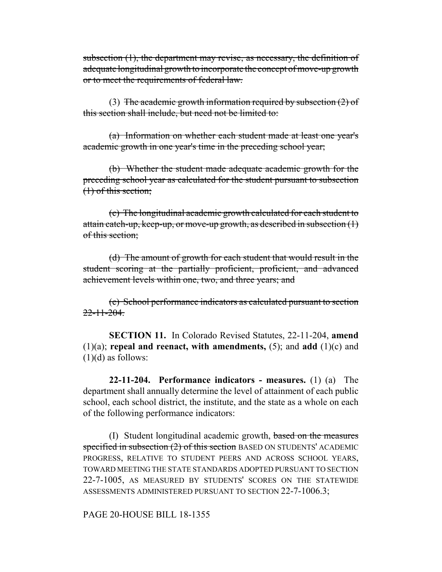subsection (1), the department may revise, as necessary, the definition of adequate longitudinal growth to incorporate the concept of move-up growth or to meet the requirements of federal law.

(3) The academic growth information required by subsection  $(2)$  of this section shall include, but need not be limited to:

(a) Information on whether each student made at least one year's academic growth in one year's time in the preceding school year;

(b) Whether the student made adequate academic growth for the preceding school year as calculated for the student pursuant to subsection (1) of this section;

(c) The longitudinal academic growth calculated for each student to attain catch-up, keep-up, or move-up growth, as described in subsection  $(1)$ of this section;

(d) The amount of growth for each student that would result in the student scoring at the partially proficient, proficient, and advanced achievement levels within one, two, and three years; and

(e) School performance indicators as calculated pursuant to section  $22 - 11 - 204$ 

**SECTION 11.** In Colorado Revised Statutes, 22-11-204, **amend** (1)(a); **repeal and reenact, with amendments,** (5); and **add** (1)(c) and  $(1)(d)$  as follows:

**22-11-204. Performance indicators - measures.** (1) (a) The department shall annually determine the level of attainment of each public school, each school district, the institute, and the state as a whole on each of the following performance indicators:

(I) Student longitudinal academic growth, based on the measures specified in subsection (2) of this section BASED ON STUDENTS' ACADEMIC PROGRESS, RELATIVE TO STUDENT PEERS AND ACROSS SCHOOL YEARS, TOWARD MEETING THE STATE STANDARDS ADOPTED PURSUANT TO SECTION 22-7-1005, AS MEASURED BY STUDENTS' SCORES ON THE STATEWIDE ASSESSMENTS ADMINISTERED PURSUANT TO SECTION 22-7-1006.3;

PAGE 20-HOUSE BILL 18-1355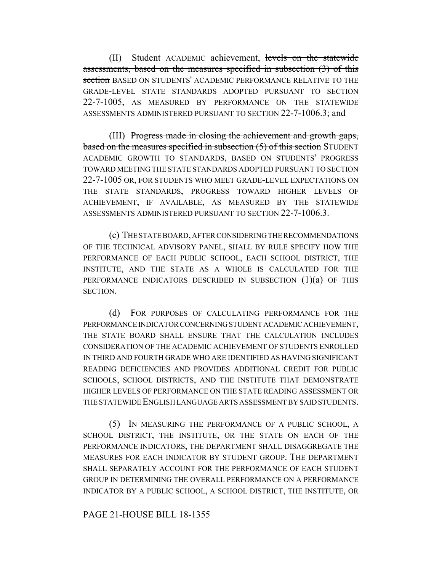(II) Student ACADEMIC achievement, levels on the statewide assessments, based on the measures specified in subsection (3) of this section BASED ON STUDENTS' ACADEMIC PERFORMANCE RELATIVE TO THE GRADE-LEVEL STATE STANDARDS ADOPTED PURSUANT TO SECTION 22-7-1005, AS MEASURED BY PERFORMANCE ON THE STATEWIDE ASSESSMENTS ADMINISTERED PURSUANT TO SECTION 22-7-1006.3; and

(III) Progress made in closing the achievement and growth gaps, based on the measures specified in subsection (5) of this section STUDENT ACADEMIC GROWTH TO STANDARDS, BASED ON STUDENTS' PROGRESS TOWARD MEETING THE STATE STANDARDS ADOPTED PURSUANT TO SECTION 22-7-1005 OR, FOR STUDENTS WHO MEET GRADE-LEVEL EXPECTATIONS ON THE STATE STANDARDS, PROGRESS TOWARD HIGHER LEVELS OF ACHIEVEMENT, IF AVAILABLE, AS MEASURED BY THE STATEWIDE ASSESSMENTS ADMINISTERED PURSUANT TO SECTION 22-7-1006.3.

(c) THE STATE BOARD, AFTER CONSIDERING THE RECOMMENDATIONS OF THE TECHNICAL ADVISORY PANEL, SHALL BY RULE SPECIFY HOW THE PERFORMANCE OF EACH PUBLIC SCHOOL, EACH SCHOOL DISTRICT, THE INSTITUTE, AND THE STATE AS A WHOLE IS CALCULATED FOR THE PERFORMANCE INDICATORS DESCRIBED IN SUBSECTION (1)(a) OF THIS SECTION.

(d) FOR PURPOSES OF CALCULATING PERFORMANCE FOR THE PERFORMANCE INDICATOR CONCERNING STUDENT ACADEMIC ACHIEVEMENT, THE STATE BOARD SHALL ENSURE THAT THE CALCULATION INCLUDES CONSIDERATION OF THE ACADEMIC ACHIEVEMENT OF STUDENTS ENROLLED IN THIRD AND FOURTH GRADE WHO ARE IDENTIFIED AS HAVING SIGNIFICANT READING DEFICIENCIES AND PROVIDES ADDITIONAL CREDIT FOR PUBLIC SCHOOLS, SCHOOL DISTRICTS, AND THE INSTITUTE THAT DEMONSTRATE HIGHER LEVELS OF PERFORMANCE ON THE STATE READING ASSESSMENT OR THE STATEWIDE ENGLISH LANGUAGE ARTS ASSESSMENT BY SAID STUDENTS.

(5) IN MEASURING THE PERFORMANCE OF A PUBLIC SCHOOL, A SCHOOL DISTRICT, THE INSTITUTE, OR THE STATE ON EACH OF THE PERFORMANCE INDICATORS, THE DEPARTMENT SHALL DISAGGREGATE THE MEASURES FOR EACH INDICATOR BY STUDENT GROUP. THE DEPARTMENT SHALL SEPARATELY ACCOUNT FOR THE PERFORMANCE OF EACH STUDENT GROUP IN DETERMINING THE OVERALL PERFORMANCE ON A PERFORMANCE INDICATOR BY A PUBLIC SCHOOL, A SCHOOL DISTRICT, THE INSTITUTE, OR

PAGE 21-HOUSE BILL 18-1355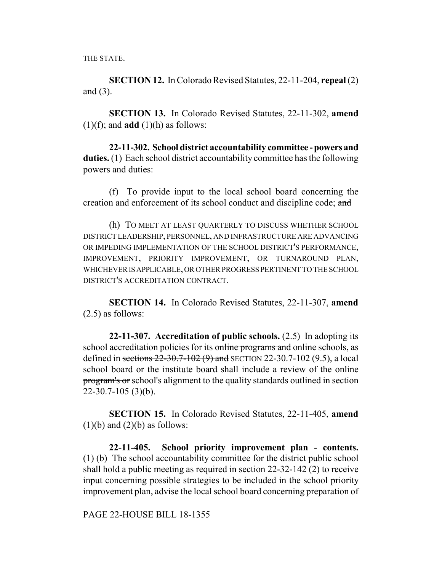THE STATE.

**SECTION 12.** In Colorado Revised Statutes, 22-11-204, **repeal** (2) and (3).

**SECTION 13.** In Colorado Revised Statutes, 22-11-302, **amend**  $(1)(f)$ ; and **add**  $(1)(h)$  as follows:

**22-11-302. School district accountability committee - powers and duties.** (1) Each school district accountability committee has the following powers and duties:

(f) To provide input to the local school board concerning the creation and enforcement of its school conduct and discipline code; and

(h) TO MEET AT LEAST QUARTERLY TO DISCUSS WHETHER SCHOOL DISTRICT LEADERSHIP, PERSONNEL, AND INFRASTRUCTURE ARE ADVANCING OR IMPEDING IMPLEMENTATION OF THE SCHOOL DISTRICT'S PERFORMANCE, IMPROVEMENT, PRIORITY IMPROVEMENT, OR TURNAROUND PLAN, WHICHEVER IS APPLICABLE, OR OTHER PROGRESS PERTINENT TO THE SCHOOL DISTRICT'S ACCREDITATION CONTRACT.

**SECTION 14.** In Colorado Revised Statutes, 22-11-307, **amend** (2.5) as follows:

**22-11-307. Accreditation of public schools.** (2.5) In adopting its school accreditation policies for its online programs and online schools, as defined in sections 22-30.7-102 (9) and SECTION 22-30.7-102 (9.5), a local school board or the institute board shall include a review of the online program's or school's alignment to the quality standards outlined in section  $22-30.7-105$  (3)(b).

**SECTION 15.** In Colorado Revised Statutes, 22-11-405, **amend**  $(1)(b)$  and  $(2)(b)$  as follows:

**22-11-405. School priority improvement plan - contents.** (1) (b) The school accountability committee for the district public school shall hold a public meeting as required in section 22-32-142 (2) to receive input concerning possible strategies to be included in the school priority improvement plan, advise the local school board concerning preparation of

PAGE 22-HOUSE BILL 18-1355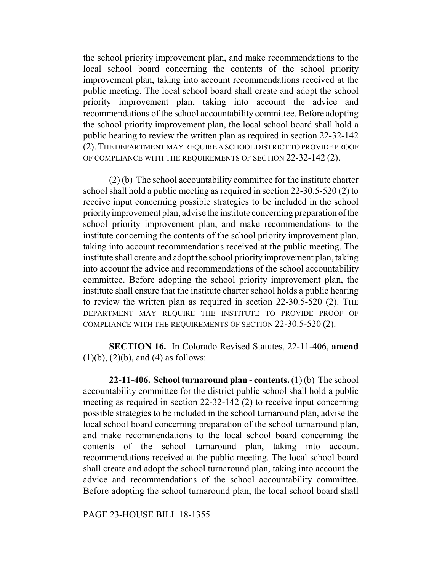the school priority improvement plan, and make recommendations to the local school board concerning the contents of the school priority improvement plan, taking into account recommendations received at the public meeting. The local school board shall create and adopt the school priority improvement plan, taking into account the advice and recommendations of the school accountability committee. Before adopting the school priority improvement plan, the local school board shall hold a public hearing to review the written plan as required in section 22-32-142 (2). THE DEPARTMENT MAY REQUIRE A SCHOOL DISTRICT TO PROVIDE PROOF OF COMPLIANCE WITH THE REQUIREMENTS OF SECTION 22-32-142 (2).

(2) (b) The school accountability committee for the institute charter school shall hold a public meeting as required in section 22-30.5-520 (2) to receive input concerning possible strategies to be included in the school priority improvement plan, advise the institute concerning preparation of the school priority improvement plan, and make recommendations to the institute concerning the contents of the school priority improvement plan, taking into account recommendations received at the public meeting. The institute shall create and adopt the school priority improvement plan, taking into account the advice and recommendations of the school accountability committee. Before adopting the school priority improvement plan, the institute shall ensure that the institute charter school holds a public hearing to review the written plan as required in section 22-30.5-520 (2). THE DEPARTMENT MAY REQUIRE THE INSTITUTE TO PROVIDE PROOF OF COMPLIANCE WITH THE REQUIREMENTS OF SECTION 22-30.5-520 (2).

**SECTION 16.** In Colorado Revised Statutes, 22-11-406, **amend**  $(1)(b)$ ,  $(2)(b)$ , and  $(4)$  as follows:

**22-11-406. School turnaround plan - contents.** (1) (b) The school accountability committee for the district public school shall hold a public meeting as required in section 22-32-142 (2) to receive input concerning possible strategies to be included in the school turnaround plan, advise the local school board concerning preparation of the school turnaround plan, and make recommendations to the local school board concerning the contents of the school turnaround plan, taking into account recommendations received at the public meeting. The local school board shall create and adopt the school turnaround plan, taking into account the advice and recommendations of the school accountability committee. Before adopting the school turnaround plan, the local school board shall

PAGE 23-HOUSE BILL 18-1355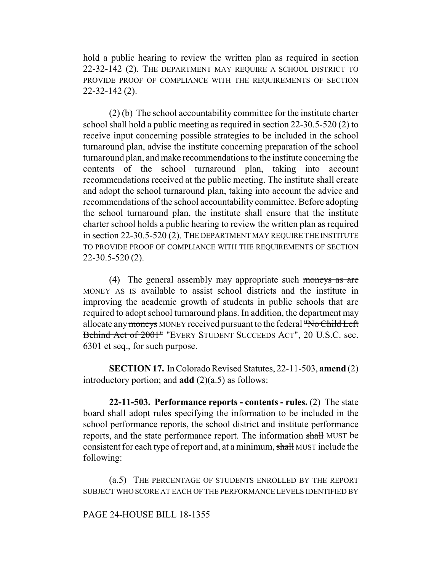hold a public hearing to review the written plan as required in section 22-32-142 (2). THE DEPARTMENT MAY REQUIRE A SCHOOL DISTRICT TO PROVIDE PROOF OF COMPLIANCE WITH THE REQUIREMENTS OF SECTION 22-32-142 (2).

(2) (b) The school accountability committee for the institute charter school shall hold a public meeting as required in section 22-30.5-520 (2) to receive input concerning possible strategies to be included in the school turnaround plan, advise the institute concerning preparation of the school turnaround plan, and make recommendations to the institute concerning the contents of the school turnaround plan, taking into account recommendations received at the public meeting. The institute shall create and adopt the school turnaround plan, taking into account the advice and recommendations of the school accountability committee. Before adopting the school turnaround plan, the institute shall ensure that the institute charter school holds a public hearing to review the written plan as required in section 22-30.5-520 (2). THE DEPARTMENT MAY REQUIRE THE INSTITUTE TO PROVIDE PROOF OF COMPLIANCE WITH THE REQUIREMENTS OF SECTION 22-30.5-520 (2).

(4) The general assembly may appropriate such moneys as are MONEY AS IS available to assist school districts and the institute in improving the academic growth of students in public schools that are required to adopt school turnaround plans. In addition, the department may allocate any moneys MONEY received pursuant to the federal "No Child Left Behind Act of 2001" "EVERY STUDENT SUCCEEDS ACT", 20 U.S.C. sec. 6301 et seq., for such purpose.

**SECTION 17.** In Colorado Revised Statutes, 22-11-503, **amend** (2) introductory portion; and **add**  $(2)(a.5)$  as follows:

**22-11-503. Performance reports - contents - rules.** (2) The state board shall adopt rules specifying the information to be included in the school performance reports, the school district and institute performance reports, and the state performance report. The information shall MUST be consistent for each type of report and, at a minimum, shall MUST include the following:

(a.5) THE PERCENTAGE OF STUDENTS ENROLLED BY THE REPORT SUBJECT WHO SCORE AT EACH OF THE PERFORMANCE LEVELS IDENTIFIED BY

# PAGE 24-HOUSE BILL 18-1355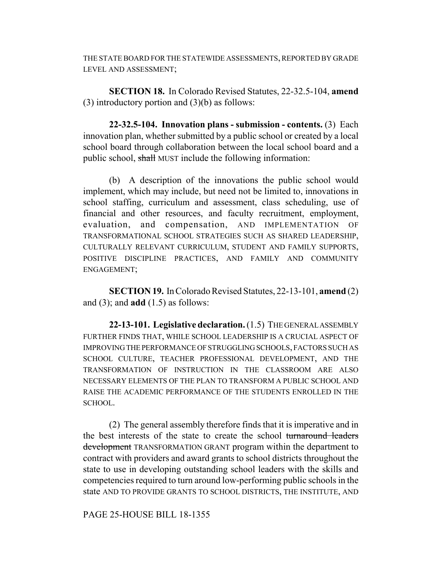THE STATE BOARD FOR THE STATEWIDE ASSESSMENTS, REPORTED BY GRADE LEVEL AND ASSESSMENT;

**SECTION 18.** In Colorado Revised Statutes, 22-32.5-104, **amend** (3) introductory portion and  $(3)(b)$  as follows:

**22-32.5-104. Innovation plans - submission - contents.** (3) Each innovation plan, whether submitted by a public school or created by a local school board through collaboration between the local school board and a public school, shall MUST include the following information:

(b) A description of the innovations the public school would implement, which may include, but need not be limited to, innovations in school staffing, curriculum and assessment, class scheduling, use of financial and other resources, and faculty recruitment, employment, evaluation, and compensation, AND IMPLEMENTATION OF TRANSFORMATIONAL SCHOOL STRATEGIES SUCH AS SHARED LEADERSHIP, CULTURALLY RELEVANT CURRICULUM, STUDENT AND FAMILY SUPPORTS, POSITIVE DISCIPLINE PRACTICES, AND FAMILY AND COMMUNITY ENGAGEMENT;

**SECTION 19.** In Colorado Revised Statutes, 22-13-101, **amend** (2) and (3); and **add** (1.5) as follows:

**22-13-101. Legislative declaration.** (1.5) THE GENERAL ASSEMBLY FURTHER FINDS THAT, WHILE SCHOOL LEADERSHIP IS A CRUCIAL ASPECT OF IMPROVING THE PERFORMANCE OF STRUGGLING SCHOOLS, FACTORS SUCH AS SCHOOL CULTURE, TEACHER PROFESSIONAL DEVELOPMENT, AND THE TRANSFORMATION OF INSTRUCTION IN THE CLASSROOM ARE ALSO NECESSARY ELEMENTS OF THE PLAN TO TRANSFORM A PUBLIC SCHOOL AND RAISE THE ACADEMIC PERFORMANCE OF THE STUDENTS ENROLLED IN THE SCHOOL.

(2) The general assembly therefore finds that it is imperative and in the best interests of the state to create the school turnaround leaders development TRANSFORMATION GRANT program within the department to contract with providers and award grants to school districts throughout the state to use in developing outstanding school leaders with the skills and competencies required to turn around low-performing public schools in the state AND TO PROVIDE GRANTS TO SCHOOL DISTRICTS, THE INSTITUTE, AND

PAGE 25-HOUSE BILL 18-1355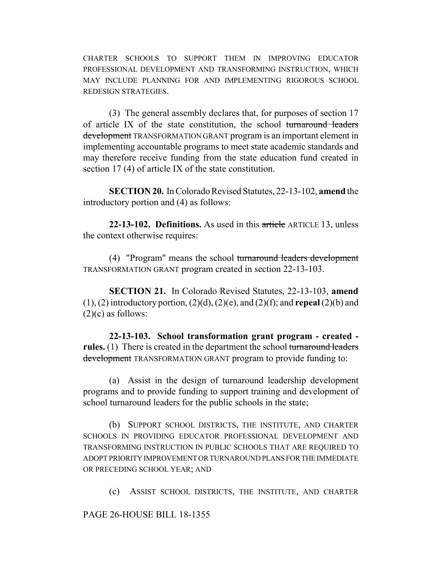CHARTER SCHOOLS TO SUPPORT THEM IN IMPROVING EDUCATOR PROFESSIONAL DEVELOPMENT AND TRANSFORMING INSTRUCTION, WHICH MAY INCLUDE PLANNING FOR AND IMPLEMENTING RIGOROUS SCHOOL REDESIGN STRATEGIES.

(3) The general assembly declares that, for purposes of section 17 of article IX of the state constitution, the school turnaround leaders development TRANSFORMATION GRANT program is an important element in implementing accountable programs to meet state academic standards and may therefore receive funding from the state education fund created in section 17 (4) of article IX of the state constitution.

**SECTION 20.** In Colorado Revised Statutes, 22-13-102, **amend** the introductory portion and (4) as follows:

**22-13-102. Definitions.** As used in this article ARTICLE 13, unless the context otherwise requires:

(4) "Program" means the school turnaround leaders development TRANSFORMATION GRANT program created in section 22-13-103.

**SECTION 21.** In Colorado Revised Statutes, 22-13-103, **amend** (1), (2) introductory portion, (2)(d), (2)(e), and (2)(f); and **repeal** (2)(b) and  $(2)(c)$  as follows:

**22-13-103. School transformation grant program - created**  rules. (1) There is created in the department the school turnaround leaders development TRANSFORMATION GRANT program to provide funding to:

(a) Assist in the design of turnaround leadership development programs and to provide funding to support training and development of school turnaround leaders for the public schools in the state;

(b) SUPPORT SCHOOL DISTRICTS, THE INSTITUTE, AND CHARTER SCHOOLS IN PROVIDING EDUCATOR PROFESSIONAL DEVELOPMENT AND TRANSFORMING INSTRUCTION IN PUBLIC SCHOOLS THAT ARE REQUIRED TO ADOPT PRIORITY IMPROVEMENT OR TURNAROUND PLANS FOR THE IMMEDIATE OR PRECEDING SCHOOL YEAR; AND

(c) ASSIST SCHOOL DISTRICTS, THE INSTITUTE, AND CHARTER

PAGE 26-HOUSE BILL 18-1355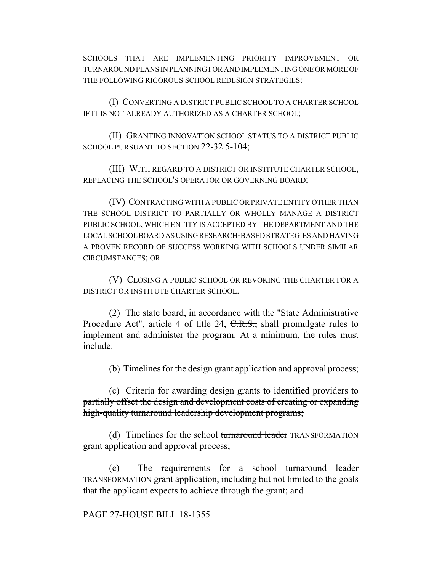SCHOOLS THAT ARE IMPLEMENTING PRIORITY IMPROVEMENT OR TURNAROUND PLANS IN PLANNING FOR AND IMPLEMENTING ONE OR MORE OF THE FOLLOWING RIGOROUS SCHOOL REDESIGN STRATEGIES:

(I) CONVERTING A DISTRICT PUBLIC SCHOOL TO A CHARTER SCHOOL IF IT IS NOT ALREADY AUTHORIZED AS A CHARTER SCHOOL;

(II) GRANTING INNOVATION SCHOOL STATUS TO A DISTRICT PUBLIC SCHOOL PURSUANT TO SECTION 22-32.5-104;

(III) WITH REGARD TO A DISTRICT OR INSTITUTE CHARTER SCHOOL, REPLACING THE SCHOOL'S OPERATOR OR GOVERNING BOARD;

(IV) CONTRACTING WITH A PUBLIC OR PRIVATE ENTITY OTHER THAN THE SCHOOL DISTRICT TO PARTIALLY OR WHOLLY MANAGE A DISTRICT PUBLIC SCHOOL, WHICH ENTITY IS ACCEPTED BY THE DEPARTMENT AND THE LOCAL SCHOOL BOARD AS USING RESEARCH-BASED STRATEGIES AND HAVING A PROVEN RECORD OF SUCCESS WORKING WITH SCHOOLS UNDER SIMILAR CIRCUMSTANCES; OR

(V) CLOSING A PUBLIC SCHOOL OR REVOKING THE CHARTER FOR A DISTRICT OR INSTITUTE CHARTER SCHOOL.

(2) The state board, in accordance with the "State Administrative Procedure Act", article 4 of title 24, C.R.S., shall promulgate rules to implement and administer the program. At a minimum, the rules must include:

(b) Timelines for the design grant application and approval process;

(c) Criteria for awarding design grants to identified providers to partially offset the design and development costs of creating or expanding high-quality turnaround leadership development programs;

(d) Timelines for the school turnaround leader TRANSFORMATION grant application and approval process;

(e) The requirements for a school turnaround leader TRANSFORMATION grant application, including but not limited to the goals that the applicant expects to achieve through the grant; and

PAGE 27-HOUSE BILL 18-1355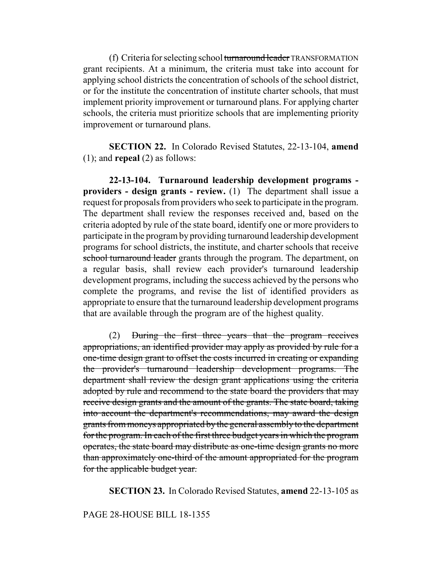(f) Criteria for selecting school turnaround leader TRANSFORMATION grant recipients. At a minimum, the criteria must take into account for applying school districts the concentration of schools of the school district, or for the institute the concentration of institute charter schools, that must implement priority improvement or turnaround plans. For applying charter schools, the criteria must prioritize schools that are implementing priority improvement or turnaround plans.

**SECTION 22.** In Colorado Revised Statutes, 22-13-104, **amend** (1); and **repeal** (2) as follows:

**22-13-104. Turnaround leadership development programs providers - design grants - review.** (1) The department shall issue a request for proposals from providers who seek to participate in the program. The department shall review the responses received and, based on the criteria adopted by rule of the state board, identify one or more providers to participate in the program by providing turnaround leadership development programs for school districts, the institute, and charter schools that receive school turnaround leader grants through the program. The department, on a regular basis, shall review each provider's turnaround leadership development programs, including the success achieved by the persons who complete the programs, and revise the list of identified providers as appropriate to ensure that the turnaround leadership development programs that are available through the program are of the highest quality.

(2) During the first three years that the program receives appropriations, an identified provider may apply as provided by rule for a one-time design grant to offset the costs incurred in creating or expanding the provider's turnaround leadership development programs. The department shall review the design grant applications using the criteria adopted by rule and recommend to the state board the providers that may receive design grants and the amount of the grants. The state board, taking into account the department's recommendations, may award the design grants from moneys appropriated by the general assembly to the department for the program. In each of the first three budget years in which the program operates, the state board may distribute as one-time design grants no more than approximately one-third of the amount appropriated for the program for the applicable budget year.

**SECTION 23.** In Colorado Revised Statutes, **amend** 22-13-105 as

## PAGE 28-HOUSE BILL 18-1355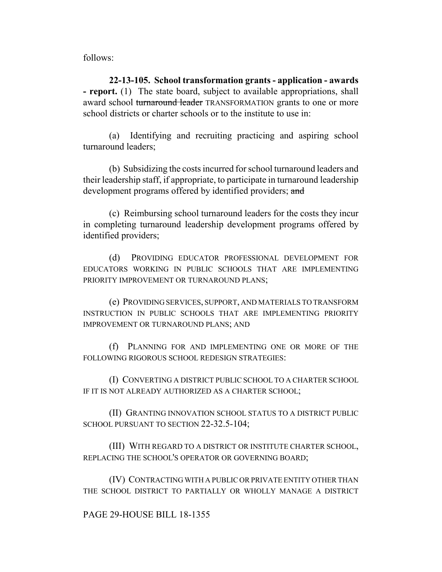follows:

**22-13-105. School transformation grants - application - awards - report.** (1) The state board, subject to available appropriations, shall award school turnaround leader TRANSFORMATION grants to one or more school districts or charter schools or to the institute to use in:

(a) Identifying and recruiting practicing and aspiring school turnaround leaders;

(b) Subsidizing the costs incurred for school turnaround leaders and their leadership staff, if appropriate, to participate in turnaround leadership development programs offered by identified providers; and

(c) Reimbursing school turnaround leaders for the costs they incur in completing turnaround leadership development programs offered by identified providers;

(d) PROVIDING EDUCATOR PROFESSIONAL DEVELOPMENT FOR EDUCATORS WORKING IN PUBLIC SCHOOLS THAT ARE IMPLEMENTING PRIORITY IMPROVEMENT OR TURNAROUND PLANS;

(e) PROVIDING SERVICES, SUPPORT, AND MATERIALS TO TRANSFORM INSTRUCTION IN PUBLIC SCHOOLS THAT ARE IMPLEMENTING PRIORITY IMPROVEMENT OR TURNAROUND PLANS; AND

(f) PLANNING FOR AND IMPLEMENTING ONE OR MORE OF THE FOLLOWING RIGOROUS SCHOOL REDESIGN STRATEGIES:

(I) CONVERTING A DISTRICT PUBLIC SCHOOL TO A CHARTER SCHOOL IF IT IS NOT ALREADY AUTHORIZED AS A CHARTER SCHOOL;

(II) GRANTING INNOVATION SCHOOL STATUS TO A DISTRICT PUBLIC SCHOOL PURSUANT TO SECTION 22-32.5-104;

(III) WITH REGARD TO A DISTRICT OR INSTITUTE CHARTER SCHOOL, REPLACING THE SCHOOL'S OPERATOR OR GOVERNING BOARD;

(IV) CONTRACTING WITH A PUBLIC OR PRIVATE ENTITY OTHER THAN THE SCHOOL DISTRICT TO PARTIALLY OR WHOLLY MANAGE A DISTRICT

# PAGE 29-HOUSE BILL 18-1355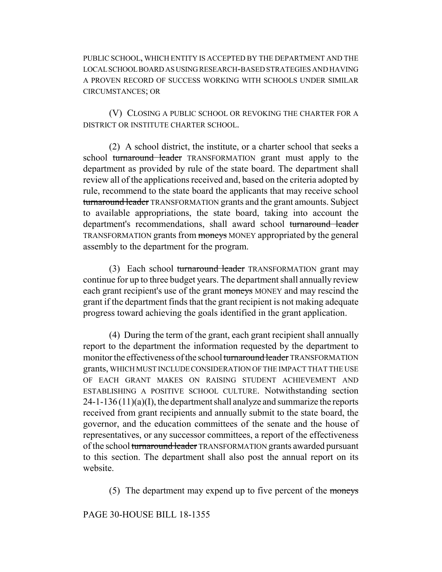PUBLIC SCHOOL, WHICH ENTITY IS ACCEPTED BY THE DEPARTMENT AND THE LOCAL SCHOOL BOARD AS USING RESEARCH-BASED STRATEGIES AND HAVING A PROVEN RECORD OF SUCCESS WORKING WITH SCHOOLS UNDER SIMILAR CIRCUMSTANCES; OR

(V) CLOSING A PUBLIC SCHOOL OR REVOKING THE CHARTER FOR A DISTRICT OR INSTITUTE CHARTER SCHOOL.

(2) A school district, the institute, or a charter school that seeks a school turnaround leader TRANSFORMATION grant must apply to the department as provided by rule of the state board. The department shall review all of the applications received and, based on the criteria adopted by rule, recommend to the state board the applicants that may receive school turnaround leader TRANSFORMATION grants and the grant amounts. Subject to available appropriations, the state board, taking into account the department's recommendations, shall award school turnaround leader TRANSFORMATION grants from moneys MONEY appropriated by the general assembly to the department for the program.

(3) Each school turnaround leader TRANSFORMATION grant may continue for up to three budget years. The department shall annually review each grant recipient's use of the grant moneys MONEY and may rescind the grant if the department finds that the grant recipient is not making adequate progress toward achieving the goals identified in the grant application.

(4) During the term of the grant, each grant recipient shall annually report to the department the information requested by the department to monitor the effectiveness of the school turnaround leader TRANSFORMATION grants, WHICH MUST INCLUDE CONSIDERATION OF THE IMPACT THAT THE USE OF EACH GRANT MAKES ON RAISING STUDENT ACHIEVEMENT AND ESTABLISHING A POSITIVE SCHOOL CULTURE. Notwithstanding section  $24-1-136(11)(a)(I)$ , the department shall analyze and summarize the reports received from grant recipients and annually submit to the state board, the governor, and the education committees of the senate and the house of representatives, or any successor committees, a report of the effectiveness of the school turnaround leader TRANSFORMATION grants awarded pursuant to this section. The department shall also post the annual report on its website.

(5) The department may expend up to five percent of the moneys

# PAGE 30-HOUSE BILL 18-1355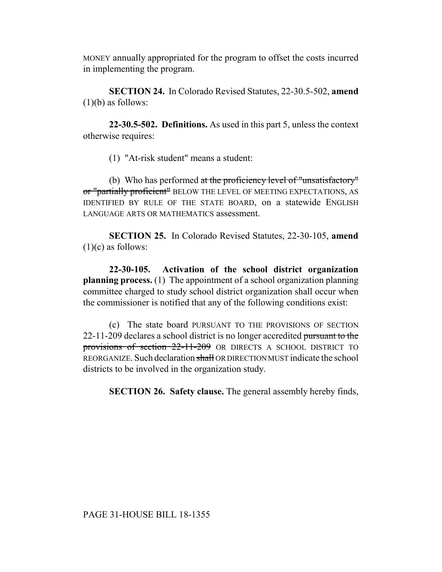MONEY annually appropriated for the program to offset the costs incurred in implementing the program.

**SECTION 24.** In Colorado Revised Statutes, 22-30.5-502, **amend**  $(1)(b)$  as follows:

**22-30.5-502. Definitions.** As used in this part 5, unless the context otherwise requires:

(1) "At-risk student" means a student:

(b) Who has performed at the proficiency level of "unsatisfactory" or "partially proficient" BELOW THE LEVEL OF MEETING EXPECTATIONS, AS IDENTIFIED BY RULE OF THE STATE BOARD, on a statewide ENGLISH LANGUAGE ARTS OR MATHEMATICS assessment.

**SECTION 25.** In Colorado Revised Statutes, 22-30-105, **amend**  $(1)(c)$  as follows:

**22-30-105. Activation of the school district organization planning process.** (1) The appointment of a school organization planning committee charged to study school district organization shall occur when the commissioner is notified that any of the following conditions exist:

(c) The state board PURSUANT TO THE PROVISIONS OF SECTION 22-11-209 declares a school district is no longer accredited pursuant to the provisions of section 22-11-209 OR DIRECTS A SCHOOL DISTRICT TO REORGANIZE. Such declaration shall OR DIRECTION MUST indicate the school districts to be involved in the organization study.

**SECTION 26. Safety clause.** The general assembly hereby finds,